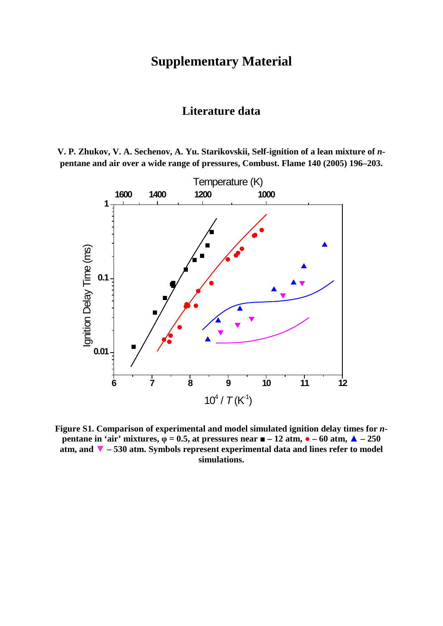## **Supplementary Material**

### **Literature data**

**V. P. Zhukov, V. A. Sechenov, A. Yu. Starikovskii, Self-ignition of a lean mixture of** *n***pentane and air over a wide range of pressures, Combust. Flame 140 (2005) 196–203.**



**Figure S1. Comparison of experimental and model simulated ignition delay times for** *n***pentane in 'air' mixtures,**  $\varphi = 0.5$ **, at pressures near**  $\mathbf{m} - 12$  **atm,**  $\mathbf{a} - 60$  **atm,**  $\mathbf{A} - 250$ **atm, and ▼ – 530 atm. Symbols represent experimental data and lines refer to model simulations.**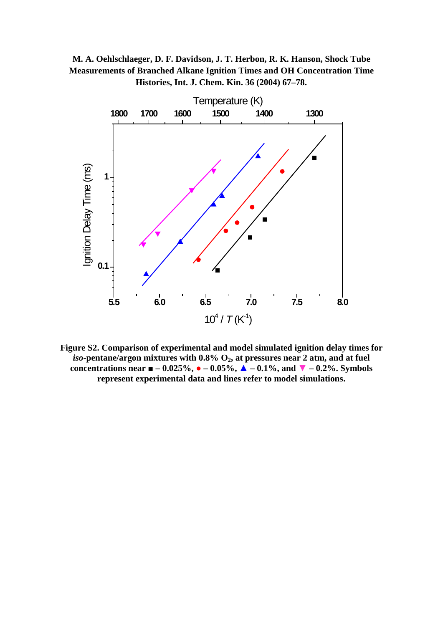



**Figure S2. Comparison of experimental and model simulated ignition delay times for**   $iso$ -pentane/argon mixtures with  $0.8\%$   $O_2$ , at pressures near 2 atm, and at fuel **concentrations near**  $\blacksquare$  **– 0.025%,**  $\bullet$  **– 0.05%,**  $\blacktriangle$  **– 0.1%, and**  $\blacktriangledown$  **– 0.2%. Symbols represent experimental data and lines refer to model simulations.**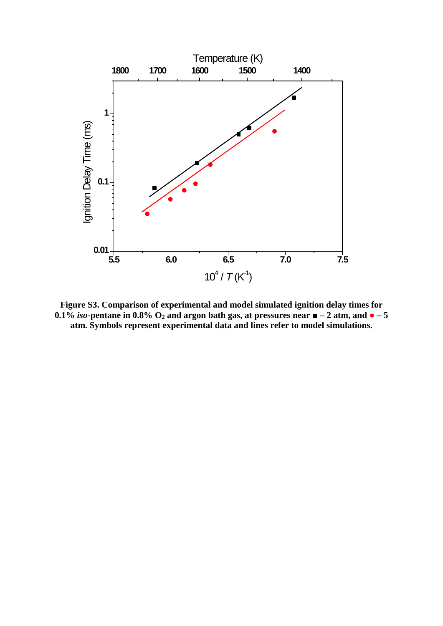

**Figure S3. Comparison of experimental and model simulated ignition delay times for 0.1%** *iso*-pentane in 0.8%  $O_2$  and argon bath gas, at pressures near  $\blacksquare$  – 2 atm, and  $\bullet$  – 5 **atm. Symbols represent experimental data and lines refer to model simulations.**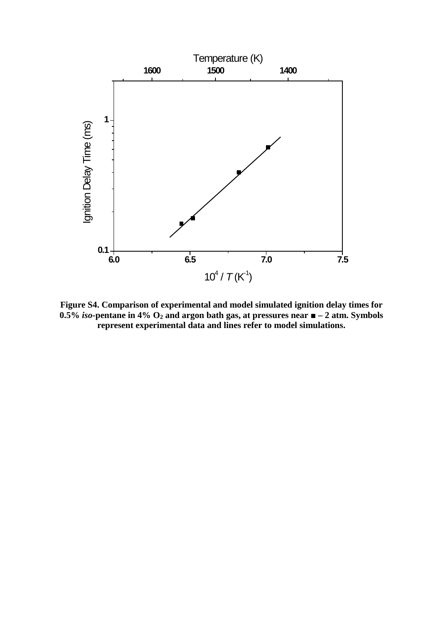

**Figure S4. Comparison of experimental and model simulated ignition delay times for 0.5%** *iso***-pentane in 4% O2 and argon bath gas, at pressures near ■ – 2 atm. Symbols represent experimental data and lines refer to model simulations.**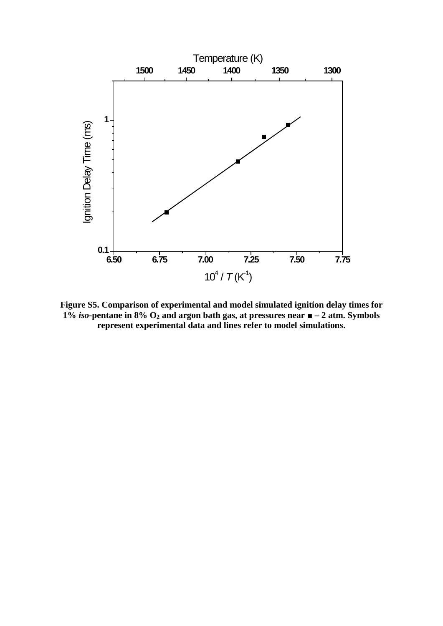

**Figure S5. Comparison of experimental and model simulated ignition delay times for 1%** *iso***-pentane in 8% O2 and argon bath gas, at pressures near ■ – 2 atm. Symbols represent experimental data and lines refer to model simulations.**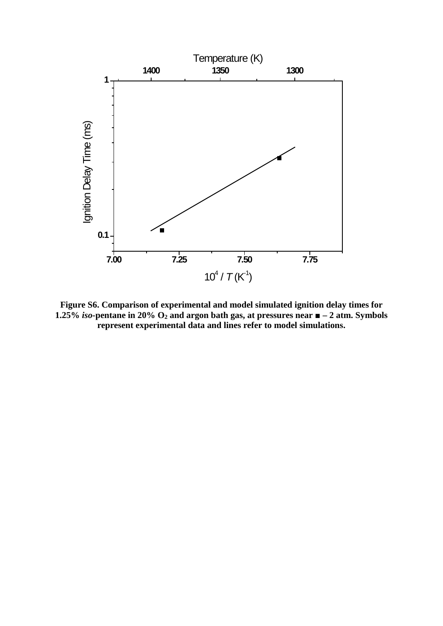

**Figure S6. Comparison of experimental and model simulated ignition delay times for 1.25% iso-pentane in 20%**  $O_2$  **and argon bath gas, at pressures near**  $\blacksquare$  **– 2 atm. Symbols represent experimental data and lines refer to model simulations.**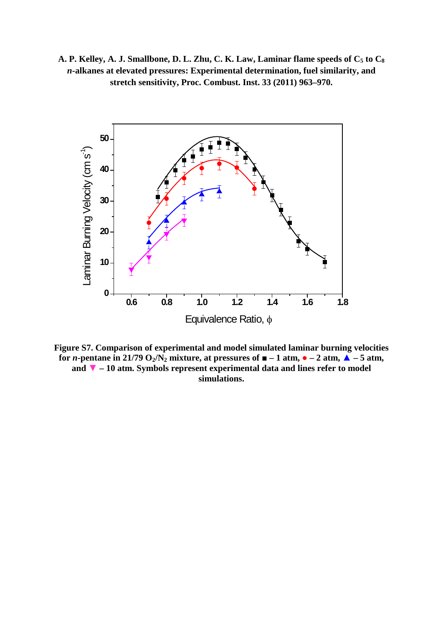A. P. Kelley, A. J. Smallbone, D. L. Zhu, C. K. Law, Laminar flame speeds of  $C_5$  to  $C_8$ *n***-alkanes at elevated pressures: Experimental determination, fuel similarity, and stretch sensitivity, Proc. Combust. Inst. 33 (2011) 963–970.**



**Figure S7. Comparison of experimental and model simulated laminar burning velocities for** *n***-pentane in 21/79 O<sub>2</sub>/N<sub>2</sub> mixture, at pressures of**  $\blacksquare$  **– 1 atm,**  $\lozenge$  **– 2 atm,**  $\triangle$  **– 5 atm, and ▼ – 10 atm. Symbols represent experimental data and lines refer to model simulations.**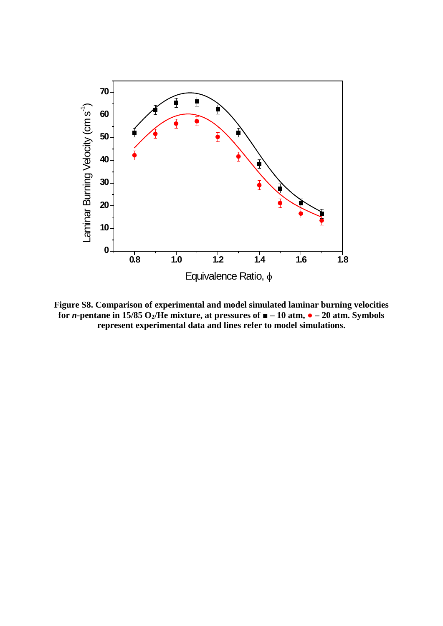

**Figure S8. Comparison of experimental and model simulated laminar burning velocities for** *n***-pentane in 15/85 O<sub>2</sub>/He mixture, at pressures of**  $\blacksquare$  **– 10 atm,**  $\lozenge$  **– 20 atm. Symbols represent experimental data and lines refer to model simulations.**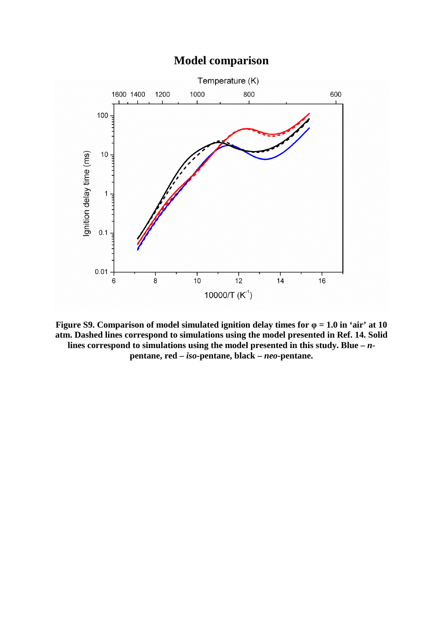## **Model comparison**



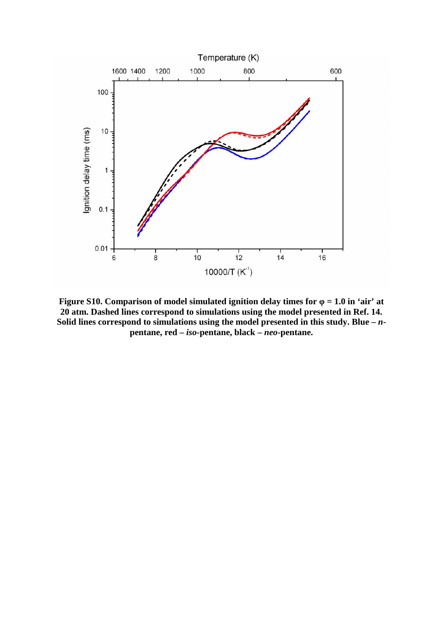

**Figure S10. Comparison of model simulated ignition delay times for φ = 1.0 in 'air' at 20 atm. Dashed lines correspond to simulations using the model presented in Ref. 14. Solid lines correspond to simulations using the model presented in this study. Blue –** *n***pentane, red –** *iso***-pentane, black –** *neo***-pentane.**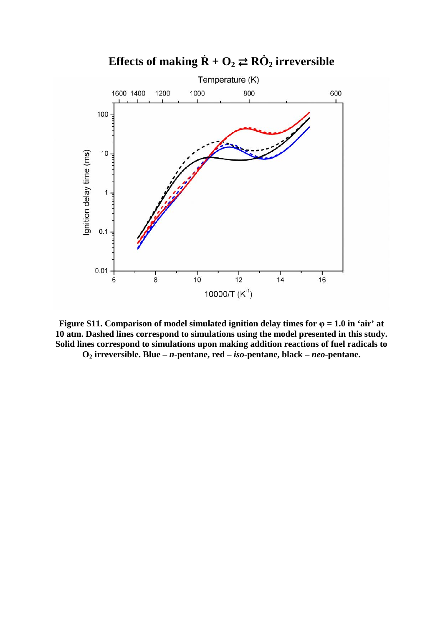

**Figure S11.** Comparison of model simulated ignition delay times for  $\varphi = 1.0$  in 'air' at **10 atm. Dashed lines correspond to simulations using the model presented in this study. Solid lines correspond to simulations upon making addition reactions of fuel radicals to O2 irreversible. Blue –** *n***-pentane, red –** *iso***-pentane, black –** *neo***-pentane.**

# **Effects of making**  $\dot{\mathbf{R}} + \mathbf{O}_2 \rightleftarrows \mathbf{R}\dot{\mathbf{O}}_2$  **irreversible**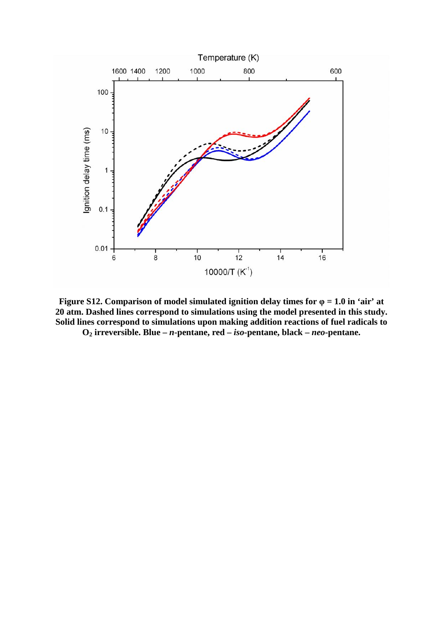

**Figure S12.** Comparison of model simulated ignition delay times for  $\varphi = 1.0$  in 'air' at **20 atm. Dashed lines correspond to simulations using the model presented in this study. Solid lines correspond to simulations upon making addition reactions of fuel radicals to** 

**O2 irreversible. Blue –** *n***-pentane, red –** *iso***-pentane, black –** *neo***-pentane.**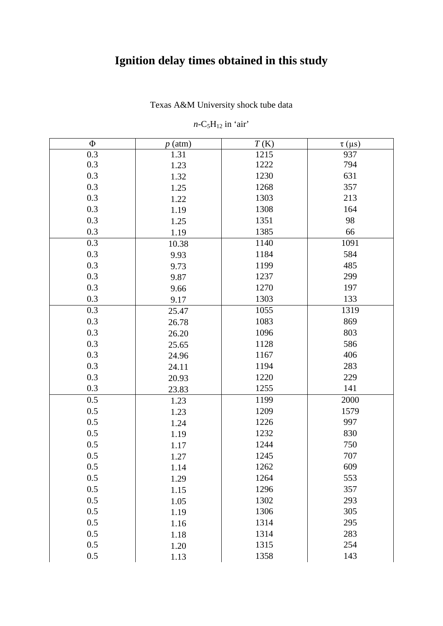# **Ignition delay times obtained in this study**

Texas A&M University shock tube data

### $n$ -C<sub>5</sub>H<sub>12</sub> in 'air'

| $\Phi$<br>T(K)<br>$p$ (atm)<br>$\tau$ (µs)<br>0.3<br>1.31<br>937<br>1215<br>0.3<br>1222<br>794<br>1.23<br>0.3<br>1230<br>631<br>1.32<br>0.3<br>1268<br>357<br>1.25<br>0.3<br>1303<br>213<br>1.22<br>0.3<br>1308<br>164<br>1.19<br>0.3<br>1351<br>98<br>1.25<br>0.3<br>1385<br>66<br>1.19<br>0.3<br>1140<br>1091<br>10.38<br>0.3<br>584<br>1184<br>9.93<br>0.3<br>1199<br>485<br>9.73<br>0.3<br>1237<br>299<br>9.87<br>0.3<br>197<br>1270<br>9.66<br>0.3<br>1303<br>133<br>9.17<br>0.3<br>1055<br>1319<br>25.47<br>0.3<br>1083<br>869<br>26.78<br>0.3<br>803<br>1096<br>26.20<br>0.3<br>1128<br>586<br>25.65<br>0.3<br>406<br>1167<br>24.96<br>0.3<br>1194<br>283<br>24.11<br>0.3<br>1220<br>229<br>20.93<br>0.3<br>141<br>1255<br>23.83<br>0.5<br>1199<br>2000<br>1.23<br>0.5<br>1209<br>1579<br>1.23<br>0.5<br>997<br>1226<br>1.24<br>0.5<br>830<br>1232<br>1.19<br>0.5<br>1244<br>750<br>1.17<br>0.5<br>1245<br>707<br>1.27<br>609<br>0.5<br>1262<br>1.14<br>0.5<br>1264<br>553<br>1.29<br>0.5<br>1296<br>357<br>1.15<br>0.5<br>1302<br>293<br>1.05<br>0.5<br>1306<br>305<br>1.19<br>0.5<br>295<br>1314<br>1.16<br>0.5<br>283<br>1314<br>1.18<br>0.5<br>1315<br>254<br>1.20<br>0.5<br>1358<br>143<br>1.13 |  |  |
|-------------------------------------------------------------------------------------------------------------------------------------------------------------------------------------------------------------------------------------------------------------------------------------------------------------------------------------------------------------------------------------------------------------------------------------------------------------------------------------------------------------------------------------------------------------------------------------------------------------------------------------------------------------------------------------------------------------------------------------------------------------------------------------------------------------------------------------------------------------------------------------------------------------------------------------------------------------------------------------------------------------------------------------------------------------------------------------------------------------------------------------------------------------------------------------------------------------|--|--|
|                                                                                                                                                                                                                                                                                                                                                                                                                                                                                                                                                                                                                                                                                                                                                                                                                                                                                                                                                                                                                                                                                                                                                                                                             |  |  |
|                                                                                                                                                                                                                                                                                                                                                                                                                                                                                                                                                                                                                                                                                                                                                                                                                                                                                                                                                                                                                                                                                                                                                                                                             |  |  |
|                                                                                                                                                                                                                                                                                                                                                                                                                                                                                                                                                                                                                                                                                                                                                                                                                                                                                                                                                                                                                                                                                                                                                                                                             |  |  |
|                                                                                                                                                                                                                                                                                                                                                                                                                                                                                                                                                                                                                                                                                                                                                                                                                                                                                                                                                                                                                                                                                                                                                                                                             |  |  |
|                                                                                                                                                                                                                                                                                                                                                                                                                                                                                                                                                                                                                                                                                                                                                                                                                                                                                                                                                                                                                                                                                                                                                                                                             |  |  |
|                                                                                                                                                                                                                                                                                                                                                                                                                                                                                                                                                                                                                                                                                                                                                                                                                                                                                                                                                                                                                                                                                                                                                                                                             |  |  |
|                                                                                                                                                                                                                                                                                                                                                                                                                                                                                                                                                                                                                                                                                                                                                                                                                                                                                                                                                                                                                                                                                                                                                                                                             |  |  |
|                                                                                                                                                                                                                                                                                                                                                                                                                                                                                                                                                                                                                                                                                                                                                                                                                                                                                                                                                                                                                                                                                                                                                                                                             |  |  |
|                                                                                                                                                                                                                                                                                                                                                                                                                                                                                                                                                                                                                                                                                                                                                                                                                                                                                                                                                                                                                                                                                                                                                                                                             |  |  |
|                                                                                                                                                                                                                                                                                                                                                                                                                                                                                                                                                                                                                                                                                                                                                                                                                                                                                                                                                                                                                                                                                                                                                                                                             |  |  |
|                                                                                                                                                                                                                                                                                                                                                                                                                                                                                                                                                                                                                                                                                                                                                                                                                                                                                                                                                                                                                                                                                                                                                                                                             |  |  |
|                                                                                                                                                                                                                                                                                                                                                                                                                                                                                                                                                                                                                                                                                                                                                                                                                                                                                                                                                                                                                                                                                                                                                                                                             |  |  |
|                                                                                                                                                                                                                                                                                                                                                                                                                                                                                                                                                                                                                                                                                                                                                                                                                                                                                                                                                                                                                                                                                                                                                                                                             |  |  |
|                                                                                                                                                                                                                                                                                                                                                                                                                                                                                                                                                                                                                                                                                                                                                                                                                                                                                                                                                                                                                                                                                                                                                                                                             |  |  |
|                                                                                                                                                                                                                                                                                                                                                                                                                                                                                                                                                                                                                                                                                                                                                                                                                                                                                                                                                                                                                                                                                                                                                                                                             |  |  |
|                                                                                                                                                                                                                                                                                                                                                                                                                                                                                                                                                                                                                                                                                                                                                                                                                                                                                                                                                                                                                                                                                                                                                                                                             |  |  |
|                                                                                                                                                                                                                                                                                                                                                                                                                                                                                                                                                                                                                                                                                                                                                                                                                                                                                                                                                                                                                                                                                                                                                                                                             |  |  |
|                                                                                                                                                                                                                                                                                                                                                                                                                                                                                                                                                                                                                                                                                                                                                                                                                                                                                                                                                                                                                                                                                                                                                                                                             |  |  |
|                                                                                                                                                                                                                                                                                                                                                                                                                                                                                                                                                                                                                                                                                                                                                                                                                                                                                                                                                                                                                                                                                                                                                                                                             |  |  |
|                                                                                                                                                                                                                                                                                                                                                                                                                                                                                                                                                                                                                                                                                                                                                                                                                                                                                                                                                                                                                                                                                                                                                                                                             |  |  |
|                                                                                                                                                                                                                                                                                                                                                                                                                                                                                                                                                                                                                                                                                                                                                                                                                                                                                                                                                                                                                                                                                                                                                                                                             |  |  |
|                                                                                                                                                                                                                                                                                                                                                                                                                                                                                                                                                                                                                                                                                                                                                                                                                                                                                                                                                                                                                                                                                                                                                                                                             |  |  |
|                                                                                                                                                                                                                                                                                                                                                                                                                                                                                                                                                                                                                                                                                                                                                                                                                                                                                                                                                                                                                                                                                                                                                                                                             |  |  |
|                                                                                                                                                                                                                                                                                                                                                                                                                                                                                                                                                                                                                                                                                                                                                                                                                                                                                                                                                                                                                                                                                                                                                                                                             |  |  |
|                                                                                                                                                                                                                                                                                                                                                                                                                                                                                                                                                                                                                                                                                                                                                                                                                                                                                                                                                                                                                                                                                                                                                                                                             |  |  |
|                                                                                                                                                                                                                                                                                                                                                                                                                                                                                                                                                                                                                                                                                                                                                                                                                                                                                                                                                                                                                                                                                                                                                                                                             |  |  |
|                                                                                                                                                                                                                                                                                                                                                                                                                                                                                                                                                                                                                                                                                                                                                                                                                                                                                                                                                                                                                                                                                                                                                                                                             |  |  |
|                                                                                                                                                                                                                                                                                                                                                                                                                                                                                                                                                                                                                                                                                                                                                                                                                                                                                                                                                                                                                                                                                                                                                                                                             |  |  |
|                                                                                                                                                                                                                                                                                                                                                                                                                                                                                                                                                                                                                                                                                                                                                                                                                                                                                                                                                                                                                                                                                                                                                                                                             |  |  |
|                                                                                                                                                                                                                                                                                                                                                                                                                                                                                                                                                                                                                                                                                                                                                                                                                                                                                                                                                                                                                                                                                                                                                                                                             |  |  |
|                                                                                                                                                                                                                                                                                                                                                                                                                                                                                                                                                                                                                                                                                                                                                                                                                                                                                                                                                                                                                                                                                                                                                                                                             |  |  |
|                                                                                                                                                                                                                                                                                                                                                                                                                                                                                                                                                                                                                                                                                                                                                                                                                                                                                                                                                                                                                                                                                                                                                                                                             |  |  |
|                                                                                                                                                                                                                                                                                                                                                                                                                                                                                                                                                                                                                                                                                                                                                                                                                                                                                                                                                                                                                                                                                                                                                                                                             |  |  |
|                                                                                                                                                                                                                                                                                                                                                                                                                                                                                                                                                                                                                                                                                                                                                                                                                                                                                                                                                                                                                                                                                                                                                                                                             |  |  |
|                                                                                                                                                                                                                                                                                                                                                                                                                                                                                                                                                                                                                                                                                                                                                                                                                                                                                                                                                                                                                                                                                                                                                                                                             |  |  |
|                                                                                                                                                                                                                                                                                                                                                                                                                                                                                                                                                                                                                                                                                                                                                                                                                                                                                                                                                                                                                                                                                                                                                                                                             |  |  |
|                                                                                                                                                                                                                                                                                                                                                                                                                                                                                                                                                                                                                                                                                                                                                                                                                                                                                                                                                                                                                                                                                                                                                                                                             |  |  |
|                                                                                                                                                                                                                                                                                                                                                                                                                                                                                                                                                                                                                                                                                                                                                                                                                                                                                                                                                                                                                                                                                                                                                                                                             |  |  |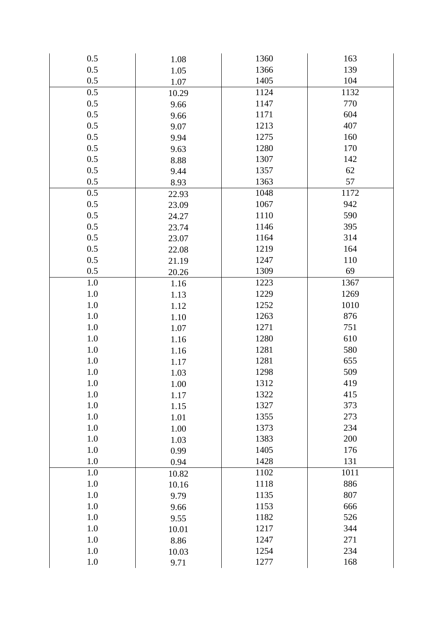| 0.5     | 1.08  | 1360 | 163  |
|---------|-------|------|------|
| 0.5     | 1.05  | 1366 | 139  |
| 0.5     | 1.07  | 1405 | 104  |
| 0.5     | 10.29 | 1124 | 1132 |
| 0.5     | 9.66  | 1147 | 770  |
| 0.5     | 9.66  | 1171 | 604  |
| 0.5     | 9.07  | 1213 | 407  |
| 0.5     | 9.94  | 1275 | 160  |
| 0.5     | 9.63  | 1280 | 170  |
| 0.5     | 8.88  | 1307 | 142  |
| 0.5     | 9.44  | 1357 | 62   |
| 0.5     | 8.93  | 1363 | 57   |
| 0.5     | 22.93 | 1048 | 1172 |
| 0.5     | 23.09 | 1067 | 942  |
| 0.5     | 24.27 | 1110 | 590  |
| 0.5     | 23.74 | 1146 | 395  |
| 0.5     | 23.07 | 1164 | 314  |
| 0.5     | 22.08 | 1219 | 164  |
| 0.5     | 21.19 | 1247 | 110  |
| 0.5     | 20.26 | 1309 | 69   |
| 1.0     | 1.16  | 1223 | 1367 |
| 1.0     | 1.13  | 1229 | 1269 |
| 1.0     | 1.12  | 1252 | 1010 |
| 1.0     | 1.10  | 1263 | 876  |
| 1.0     | 1.07  | 1271 | 751  |
| 1.0     | 1.16  | 1280 | 610  |
| 1.0     | 1.16  | 1281 | 580  |
| 1.0     | 1.17  | 1281 | 655  |
| $1.0\,$ | 1.03  | 1298 | 509  |
| 1.0     | 1.00  | 1312 | 419  |
| 1.0     | 1.17  | 1322 | 415  |
| 1.0     | 1.15  | 1327 | 373  |
| 1.0     | 1.01  | 1355 | 273  |
| 1.0     | 1.00  | 1373 | 234  |
| 1.0     | 1.03  | 1383 | 200  |
| 1.0     | 0.99  | 1405 | 176  |
| 1.0     | 0.94  | 1428 | 131  |
| 1.0     | 10.82 | 1102 | 1011 |
| 1.0     | 10.16 | 1118 | 886  |
| 1.0     | 9.79  | 1135 | 807  |
| 1.0     | 9.66  | 1153 | 666  |
| 1.0     | 9.55  | 1182 | 526  |
| 1.0     | 10.01 | 1217 | 344  |
| 1.0     | 8.86  | 1247 | 271  |
| 1.0     | 10.03 | 1254 | 234  |
| 1.0     | 9.71  | 1277 | 168  |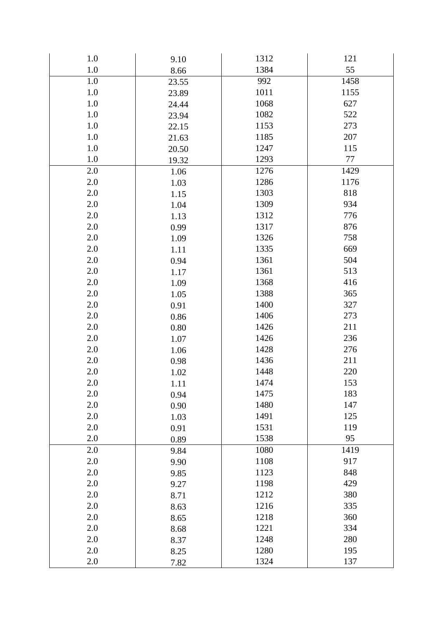| 1.0     | 9.10     | 1312 | 121     |
|---------|----------|------|---------|
| 1.0     | 8.66     | 1384 | 55      |
| 1.0     | 23.55    | 992  | 1458    |
| $1.0\,$ | 23.89    | 1011 | 1155    |
| 1.0     | 24.44    | 1068 | 627     |
| $1.0\,$ | 23.94    | 1082 | 522     |
| 1.0     | 22.15    | 1153 | 273     |
| $1.0\,$ | 21.63    | 1185 | 207     |
| 1.0     | 20.50    | 1247 | 115     |
| $1.0\,$ | 19.32    | 1293 | $77 \,$ |
| 2.0     | 1.06     | 1276 | 1429    |
| $2.0\,$ | 1.03     | 1286 | 1176    |
| 2.0     | 1.15     | 1303 | 818     |
| $2.0\,$ | 1.04     | 1309 | 934     |
| 2.0     | 1.13     | 1312 | 776     |
| $2.0\,$ | 0.99     | 1317 | 876     |
| 2.0     | 1.09     | 1326 | 758     |
| $2.0\,$ | 1.11     | 1335 | 669     |
| 2.0     | 0.94     | 1361 | 504     |
| $2.0\,$ | 1.17     | 1361 | 513     |
| 2.0     | 1.09     | 1368 | 416     |
| $2.0\,$ | 1.05     | 1388 | 365     |
| 2.0     | 0.91     | 1400 | 327     |
| $2.0\,$ | 0.86     | 1406 | 273     |
| 2.0     | $0.80\,$ | 1426 | 211     |
| $2.0\,$ | 1.07     | 1426 | 236     |
| 2.0     | 1.06     | 1428 | 276     |
| $2.0\,$ | 0.98     | 1436 | 211     |
| 2.0     | 1.02     | 1448 | 220     |
| 2.0     | 1.11     | 1474 | 153     |
| 2.0     | 0.94     | 1475 | 183     |
| 2.0     | 0.90     | 1480 | 147     |
| 2.0     | 1.03     | 1491 | 125     |
| 2.0     | 0.91     | 1531 | 119     |
| 2.0     | 0.89     | 1538 | 95      |
| 2.0     | 9.84     | 1080 | 1419    |
| 2.0     | 9.90     | 1108 | 917     |
| 2.0     | 9.85     | 1123 | 848     |
| 2.0     | 9.27     | 1198 | 429     |
| 2.0     | 8.71     | 1212 | 380     |
| 2.0     | 8.63     | 1216 | 335     |
| 2.0     | 8.65     | 1218 | 360     |
| 2.0     | 8.68     | 1221 | 334     |
| 2.0     | 8.37     | 1248 | 280     |
| 2.0     | 8.25     | 1280 | 195     |
| 2.0     | 7.82     | 1324 | 137     |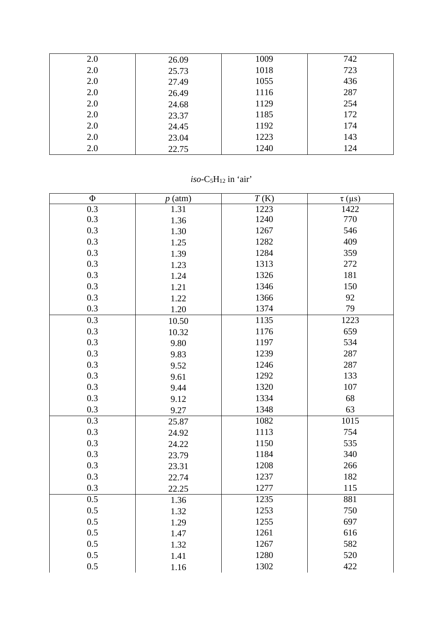| 2.0 | 26.09 | 1009 | 742 |
|-----|-------|------|-----|
| 2.0 | 25.73 | 1018 | 723 |
| 2.0 | 27.49 | 1055 | 436 |
| 2.0 | 26.49 | 1116 | 287 |
| 2.0 | 24.68 | 1129 | 254 |
| 2.0 | 23.37 | 1185 | 172 |
| 2.0 | 24.45 | 1192 | 174 |
| 2.0 | 23.04 | 1223 | 143 |
| 2.0 | 22.75 | 1240 | 124 |

 $iso-C<sub>5</sub>H<sub>12</sub>$  in 'air'

| $\Phi$           | $p$ (atm) | T(K) | $\tau$ (µs) |
|------------------|-----------|------|-------------|
| $\overline{0.3}$ | 1.31      | 1223 | 1422        |
| 0.3              | 1.36      | 1240 | 770         |
| 0.3              | 1.30      | 1267 | 546         |
| 0.3              | 1.25      | 1282 | 409         |
| 0.3              | 1.39      | 1284 | 359         |
| 0.3              | 1.23      | 1313 | 272         |
| 0.3              | 1.24      | 1326 | 181         |
| 0.3              | 1.21      | 1346 | 150         |
| 0.3              | 1.22      | 1366 | 92          |
| 0.3              | 1.20      | 1374 | 79          |
| $\overline{0.3}$ | 10.50     | 1135 | 1223        |
| 0.3              | 10.32     | 1176 | 659         |
| 0.3              | 9.80      | 1197 | 534         |
| 0.3              | 9.83      | 1239 | 287         |
| 0.3              | 9.52      | 1246 | 287         |
| 0.3              | 9.61      | 1292 | 133         |
| 0.3              | 9.44      | 1320 | 107         |
| 0.3              | 9.12      | 1334 | 68          |
| 0.3              | 9.27      | 1348 | 63          |
| 0.3              | 25.87     | 1082 | 1015        |
| 0.3              | 24.92     | 1113 | 754         |
| 0.3              | 24.22     | 1150 | 535         |
| 0.3              | 23.79     | 1184 | 340         |
| 0.3              | 23.31     | 1208 | 266         |
| 0.3              | 22.74     | 1237 | 182         |
| 0.3              | 22.25     | 1277 | 115         |
| 0.5              | 1.36      | 1235 | 881         |
| 0.5              | 1.32      | 1253 | 750         |
| 0.5              | 1.29      | 1255 | 697         |
| 0.5              | 1.47      | 1261 | 616         |
| 0.5              | 1.32      | 1267 | 582         |
| 0.5              | 1.41      | 1280 | 520         |
| 0.5              | 1.16      | 1302 | 422         |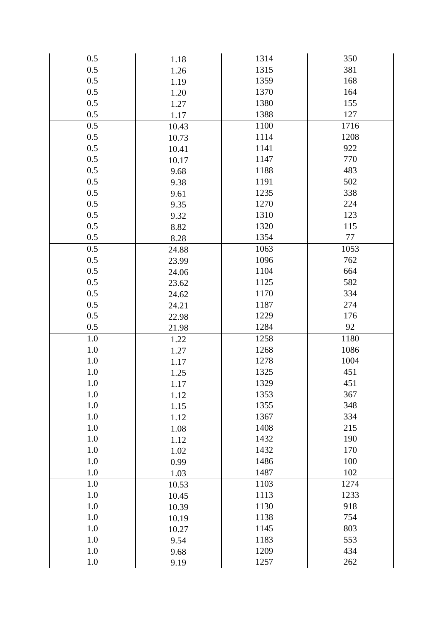| 0.5     | 1.18  | 1314 | 350  |
|---------|-------|------|------|
| 0.5     | 1.26  | 1315 | 381  |
| 0.5     | 1.19  | 1359 | 168  |
| 0.5     | 1.20  | 1370 | 164  |
| 0.5     | 1.27  | 1380 | 155  |
| 0.5     | 1.17  | 1388 | 127  |
| 0.5     | 10.43 | 1100 | 1716 |
| 0.5     | 10.73 | 1114 | 1208 |
| 0.5     | 10.41 | 1141 | 922  |
| 0.5     | 10.17 | 1147 | 770  |
| 0.5     | 9.68  | 1188 | 483  |
| $0.5\,$ | 9.38  | 1191 | 502  |
| 0.5     | 9.61  | 1235 | 338  |
| 0.5     | 9.35  | 1270 | 224  |
| 0.5     | 9.32  | 1310 | 123  |
| $0.5\,$ | 8.82  | 1320 | 115  |
| 0.5     | 8.28  | 1354 | 77   |
| 0.5     | 24.88 | 1063 | 1053 |
| 0.5     | 23.99 | 1096 | 762  |
| 0.5     | 24.06 | 1104 | 664  |
| 0.5     | 23.62 | 1125 | 582  |
| 0.5     | 24.62 | 1170 | 334  |
| 0.5     | 24.21 | 1187 | 274  |
| $0.5\,$ | 22.98 | 1229 | 176  |
| 0.5     | 21.98 | 1284 | 92   |
| 1.0     | 1.22  | 1258 | 1180 |
| 1.0     | 1.27  | 1268 | 1086 |
| 1.0     | 1.17  | 1278 | 1004 |
| $1.0\,$ | 1.25  | 1325 | 451  |
| 1.0     | 1.17  | 1329 | 451  |
| 1.0     | 1.12  | 1353 | 367  |
| 1.0     | 1.15  | 1355 | 348  |
| 1.0     | 1.12  | 1367 | 334  |
| 1.0     | 1.08  | 1408 | 215  |
| 1.0     | 1.12  | 1432 | 190  |
| 1.0     | 1.02  | 1432 | 170  |
| 1.0     | 0.99  | 1486 | 100  |
| 1.0     | 1.03  | 1487 | 102  |
| 1.0     | 10.53 | 1103 | 1274 |
| 1.0     | 10.45 | 1113 | 1233 |
| 1.0     | 10.39 | 1130 | 918  |
| 1.0     | 10.19 | 1138 | 754  |
| 1.0     | 10.27 | 1145 | 803  |
| 1.0     | 9.54  | 1183 | 553  |
| 1.0     | 9.68  | 1209 | 434  |
| 1.0     | 9.19  | 1257 | 262  |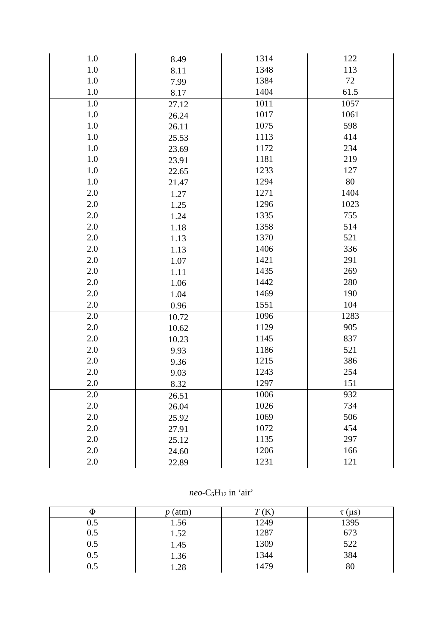| 1.0     | 8.49  | 1314 | 122  |
|---------|-------|------|------|
| $1.0\,$ | 8.11  | 1348 | 113  |
| 1.0     | 7.99  | 1384 | 72   |
| $1.0\,$ | 8.17  | 1404 | 61.5 |
| 1.0     | 27.12 | 1011 | 1057 |
| $1.0\,$ | 26.24 | 1017 | 1061 |
| 1.0     | 26.11 | 1075 | 598  |
| 1.0     | 25.53 | 1113 | 414  |
| 1.0     | 23.69 | 1172 | 234  |
| 1.0     | 23.91 | 1181 | 219  |
| 1.0     | 22.65 | 1233 | 127  |
| $1.0\,$ | 21.47 | 1294 | 80   |
| 2.0     | 1.27  | 1271 | 1404 |
| 2.0     | 1.25  | 1296 | 1023 |
| 2.0     | 1.24  | 1335 | 755  |
| 2.0     | 1.18  | 1358 | 514  |
| 2.0     | 1.13  | 1370 | 521  |
| 2.0     | 1.13  | 1406 | 336  |
| 2.0     | 1.07  | 1421 | 291  |
| 2.0     | 1.11  | 1435 | 269  |
| 2.0     | 1.06  | 1442 | 280  |
| 2.0     | 1.04  | 1469 | 190  |
| $2.0\,$ | 0.96  | 1551 | 104  |
| $2.0\,$ | 10.72 | 1096 | 1283 |
| 2.0     | 10.62 | 1129 | 905  |
| 2.0     | 10.23 | 1145 | 837  |
| 2.0     | 9.93  | 1186 | 521  |
| 2.0     | 9.36  | 1215 | 386  |
| $2.0\,$ | 9.03  | 1243 | 254  |
| 2.0     | 8.32  | 1297 | 151  |
| 2.0     | 26.51 | 1006 | 932  |
| 2.0     | 26.04 | 1026 | 734  |
| 2.0     | 25.92 | 1069 | 506  |
| 2.0     | 27.91 | 1072 | 454  |
| 2.0     | 25.12 | 1135 | 297  |
| 2.0     | 24.60 | 1206 | 166  |
| 2.0     | 22.89 | 1231 | 121  |

*neo* - C 5 H12 in 'air'

| Ψ       | (atm) |      | $\tau$ (µs |
|---------|-------|------|------------|
| 0.5     | 1.56  | 1249 | 1395       |
| 0.5     | 1.52  | 1287 | 673        |
| 0.5     | 1.45  | 1309 | 522        |
| 0.5     | 1.36  | 1344 | 384        |
| $0.5\,$ | 1.28  | 1479 | 80         |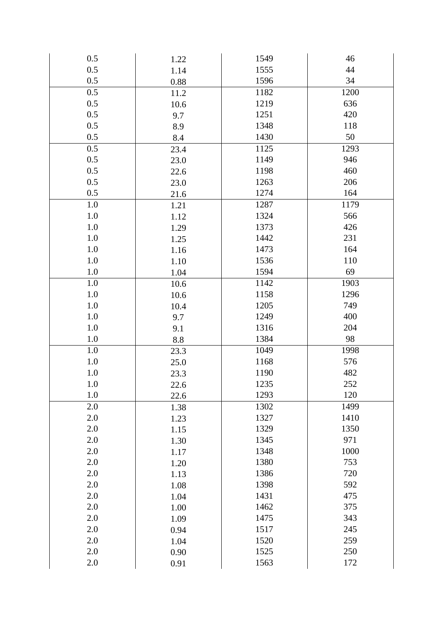| 0.5     | 1.22 | 1549 | 46     |
|---------|------|------|--------|
| 0.5     | 1.14 | 1555 | $44\,$ |
| 0.5     | 0.88 | 1596 | 34     |
| 0.5     | 11.2 | 1182 | 1200   |
| 0.5     | 10.6 | 1219 | 636    |
| 0.5     | 9.7  | 1251 | 420    |
| 0.5     | 8.9  | 1348 | 118    |
| 0.5     | 8.4  | 1430 | 50     |
| 0.5     | 23.4 | 1125 | 1293   |
| 0.5     | 23.0 | 1149 | 946    |
| 0.5     | 22.6 | 1198 | 460    |
| 0.5     | 23.0 | 1263 | 206    |
| 0.5     | 21.6 | 1274 | 164    |
| 1.0     | 1.21 | 1287 | 1179   |
| 1.0     | 1.12 | 1324 | 566    |
| 1.0     | 1.29 | 1373 | 426    |
| 1.0     | 1.25 | 1442 | 231    |
| 1.0     | 1.16 | 1473 | 164    |
| 1.0     | 1.10 | 1536 | 110    |
| 1.0     | 1.04 | 1594 | 69     |
| 1.0     | 10.6 | 1142 | 1903   |
| $1.0\,$ | 10.6 | 1158 | 1296   |
| 1.0     | 10.4 | 1205 | 749    |
| 1.0     | 9.7  | 1249 | 400    |
| $1.0\,$ | 9.1  | 1316 | 204    |
| $1.0\,$ | 8.8  | 1384 | 98     |
| 1.0     | 23.3 | 1049 | 1998   |
| $1.0\,$ | 25.0 | 1168 | 576    |
| $1.0\,$ | 23.3 | 1190 | 482    |
| 1.0     | 22.6 | 1235 | 252    |
| 1.0     | 22.6 | 1293 | 120    |
| 2.0     | 1.38 | 1302 | 1499   |
| $2.0\,$ | 1.23 | 1327 | 1410   |
| 2.0     | 1.15 | 1329 | 1350   |
| 2.0     | 1.30 | 1345 | 971    |
| 2.0     | 1.17 | 1348 | 1000   |
| 2.0     | 1.20 | 1380 | 753    |
| 2.0     | 1.13 | 1386 | 720    |
| $2.0\,$ | 1.08 | 1398 | 592    |
| 2.0     | 1.04 | 1431 | 475    |
| 2.0     | 1.00 | 1462 | 375    |
| 2.0     | 1.09 | 1475 | 343    |
| $2.0\,$ | 0.94 | 1517 | 245    |
| 2.0     | 1.04 | 1520 | 259    |
| 2.0     | 0.90 | 1525 | 250    |
| 2.0     | 0.91 | 1563 | 172    |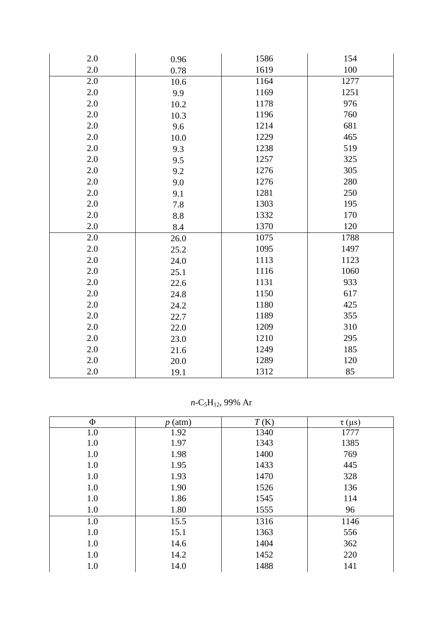| 2.0     | 0.96 | 1586 | 154  |
|---------|------|------|------|
| 2.0     | 0.78 | 1619 | 100  |
| 2.0     | 10.6 | 1164 | 1277 |
| 2.0     | 9.9  | 1169 | 1251 |
| 2.0     | 10.2 | 1178 | 976  |
| 2.0     | 10.3 | 1196 | 760  |
| $2.0\,$ | 9.6  | 1214 | 681  |
| 2.0     | 10.0 | 1229 | 465  |
| 2.0     | 9.3  | 1238 | 519  |
| 2.0     | 9.5  | 1257 | 325  |
| 2.0     | 9.2  | 1276 | 305  |
| 2.0     | 9.0  | 1276 | 280  |
| 2.0     | 9.1  | 1281 | 250  |
| $2.0\,$ | 7.8  | 1303 | 195  |
| 2.0     | 8.8  | 1332 | 170  |
| 2.0     | 8.4  | 1370 | 120  |
| 2.0     | 26.0 | 1075 | 1788 |
| 2.0     | 25.2 | 1095 | 1497 |
| 2.0     | 24.0 | 1113 | 1123 |
| 2.0     | 25.1 | 1116 | 1060 |
| $2.0\,$ | 22.6 | 1131 | 933  |
| 2.0     | 24.8 | 1150 | 617  |
| 2.0     | 24.2 | 1180 | 425  |
| 2.0     | 22.7 | 1189 | 355  |
| 2.0     | 22.0 | 1209 | 310  |
| 2.0     | 23.0 | 1210 | 295  |
| 2.0     | 21.6 | 1249 | 185  |
| $2.0\,$ | 20.0 | 1289 | 120  |
| $2.0\,$ | 19.1 | 1312 | 85   |

*n*-C5H12, 99% Ar

| Φ   | (atm) | T(K) | $\tau$ (µs) |
|-----|-------|------|-------------|
| 1.0 | 1.92  | 1340 | 1777        |
| 1.0 | 1.97  | 1343 | 1385        |
| 1.0 | 1.98  | 1400 | 769         |
| 1.0 | 1.95  | 1433 | 445         |
| 1.0 | 1.93  | 1470 | 328         |
| 1.0 | 1.90  | 1526 | 136         |
| 1.0 | 1.86  | 1545 | 114         |
| 1.0 | 1.80  | 1555 | 96          |
| 1.0 | 15.5  | 1316 | 1146        |
| 1.0 | 15.1  | 1363 | 556         |
| 1.0 | 14.6  | 1404 | 362         |
| 1.0 | 14.2  | 1452 | 220         |
| 1.0 | 14.0  | 1488 | 141         |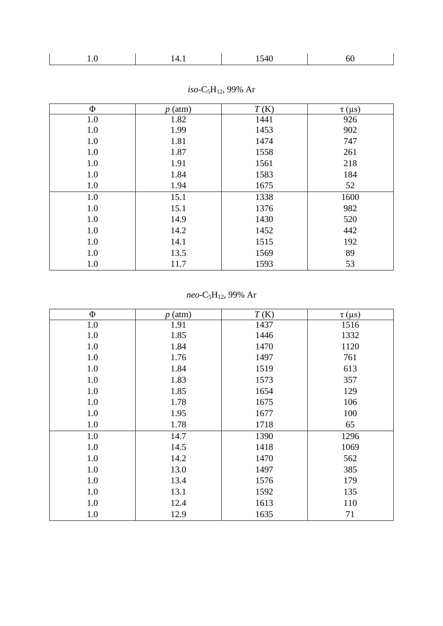| ___<br>_____ |
|--------------|
|--------------|

| Φ   | (atm)<br>$\boldsymbol{p}$ | T(K) | $\tau$ (µs) |
|-----|---------------------------|------|-------------|
| 1.0 | 1.82                      | 1441 | 926         |
| 1.0 | 1.99                      | 1453 | 902         |
| 1.0 | 1.81                      | 1474 | 747         |
| 1.0 | 1.87                      | 1558 | 261         |
| 1.0 | 1.91                      | 1561 | 218         |
| 1.0 | 1.84                      | 1583 | 184         |
| 1.0 | 1.94                      | 1675 | 52          |
| 1.0 | 15.1                      | 1338 | 1600        |
| 1.0 | 15.1                      | 1376 | 982         |
| 1.0 | 14.9                      | 1430 | 520         |
| 1.0 | 14.2                      | 1452 | 442         |
| 1.0 | 14.1                      | 1515 | 192         |
| 1.0 | 13.5                      | 1569 | 89          |
| 1.0 | 11.7                      | 1593 | 53          |

*iso*-C<sub>5</sub>H<sub>12</sub>, 99% Ar

*neo-*C<sub>5</sub>H<sub>12</sub>, 99% Ar

| $\Phi$  | $p$ (atm) | T(K) | $\tau$ (µs) |
|---------|-----------|------|-------------|
| 1.0     | 1.91      | 1437 | 1516        |
| 1.0     | 1.85      | 1446 | 1332        |
| 1.0     | 1.84      | 1470 | 1120        |
| 1.0     | 1.76      | 1497 | 761         |
| $1.0\,$ | 1.84      | 1519 | 613         |
| $1.0\,$ | 1.83      | 1573 | 357         |
| $1.0\,$ | 1.85      | 1654 | 129         |
| $1.0\,$ | 1.78      | 1675 | 106         |
| $1.0\,$ | 1.95      | 1677 | 100         |
| $1.0\,$ | 1.78      | 1718 | 65          |
| $1.0\,$ | 14.7      | 1390 | 1296        |
| $1.0\,$ | 14.5      | 1418 | 1069        |
| $1.0\,$ | 14.2      | 1470 | 562         |
| 1.0     | 13.0      | 1497 | 385         |
| 1.0     | 13.4      | 1576 | 179         |
| 1.0     | 13.1      | 1592 | 135         |
| 1.0     | 12.4      | 1613 | 110         |
| 1.0     | 12.9      | 1635 | 71          |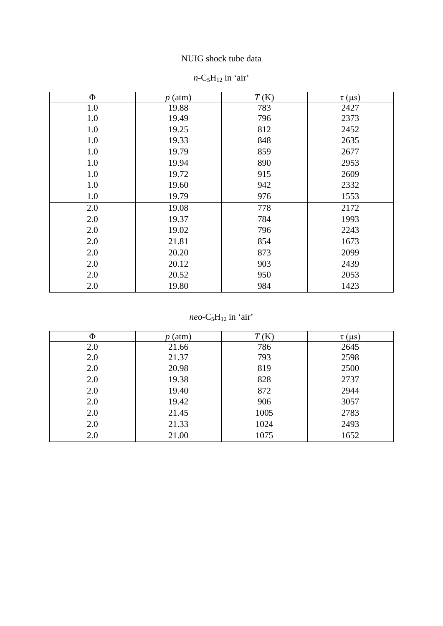### NUIG shock tube data

| $\Phi$ | $p$ (atm) | T(K) | $\tau$ (µs) |
|--------|-----------|------|-------------|
| 1.0    | 19.88     | 783  | 2427        |
| 1.0    | 19.49     | 796  | 2373        |
| 1.0    | 19.25     | 812  | 2452        |
| 1.0    | 19.33     | 848  | 2635        |
| 1.0    | 19.79     | 859  | 2677        |
| 1.0    | 19.94     | 890  | 2953        |
| 1.0    | 19.72     | 915  | 2609        |
| 1.0    | 19.60     | 942  | 2332        |
| 1.0    | 19.79     | 976  | 1553        |
| 2.0    | 19.08     | 778  | 2172        |
| 2.0    | 19.37     | 784  | 1993        |
| 2.0    | 19.02     | 796  | 2243        |
| 2.0    | 21.81     | 854  | 1673        |
| 2.0    | 20.20     | 873  | 2099        |
| 2.0    | 20.12     | 903  | 2439        |
| 2.0    | 20.52     | 950  | 2053        |
| 2.0    | 19.80     | 984  | 1423        |

### $n$ -C<sub>5</sub>H<sub>12</sub> in 'air'

*neo* - C 5 H12 in 'air'

| Φ   | (atm) | T(K) | $\tau$ (µs) |
|-----|-------|------|-------------|
| 2.0 | 21.66 | 786  | 2645        |
| 2.0 | 21.37 | 793  | 2598        |
| 2.0 | 20.98 | 819  | 2500        |
| 2.0 | 19.38 | 828  | 2737        |
| 2.0 | 19.40 | 872  | 2944        |
| 2.0 | 19.42 | 906  | 3057        |
| 2.0 | 21.45 | 1005 | 2783        |
| 2.0 | 21.33 | 1024 | 2493        |
| 2.0 | 21.00 | 1075 | 1652        |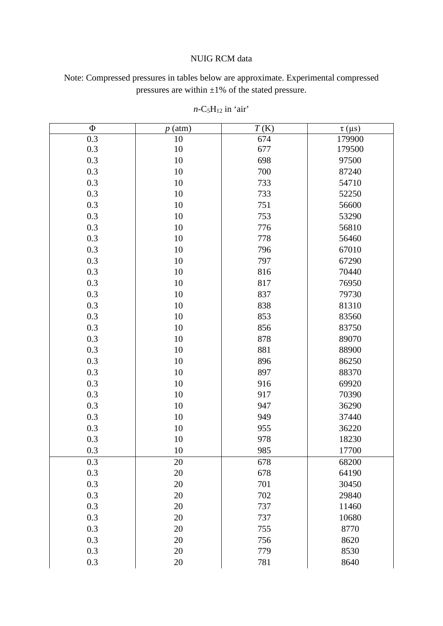#### NUIG RCM data

Note: Compressed pressures in tables below are approximate. Experimental compressed pressures are within ±1% of the stated pressure.

| $\Phi$ | $p$ (atm) | T(K) | $\tau$ (µs) |
|--------|-----------|------|-------------|
| 0.3    | 10        | 674  | 179900      |
| 0.3    | 10        | 677  | 179500      |
| 0.3    | 10        | 698  | 97500       |
| 0.3    | 10        | 700  | 87240       |
| 0.3    | 10        | 733  | 54710       |
| 0.3    | 10        | 733  | 52250       |
| 0.3    | $10\,$    | 751  | 56600       |
| 0.3    | 10        | 753  | 53290       |
| 0.3    | $10\,$    | 776  | 56810       |
| 0.3    | 10        | 778  | 56460       |
| 0.3    | $10\,$    | 796  | 67010       |
| 0.3    | 10        | 797  | 67290       |
| 0.3    | $10\,$    | 816  | 70440       |
| 0.3    | 10        | 817  | 76950       |
| 0.3    | $10\,$    | 837  | 79730       |
| 0.3    | 10        | 838  | 81310       |
| 0.3    | $10\,$    | 853  | 83560       |
| 0.3    | 10        | 856  | 83750       |
| 0.3    | $10\,$    | 878  | 89070       |
| 0.3    | 10        | 881  | 88900       |
| 0.3    | $10\,$    | 896  | 86250       |
| 0.3    | 10        | 897  | 88370       |
| 0.3    | $10\,$    | 916  | 69920       |
| 0.3    | 10        | 917  | 70390       |
| 0.3    | $10\,$    | 947  | 36290       |
| 0.3    | 10        | 949  | 37440       |
| 0.3    | $10\,$    | 955  | 36220       |
| 0.3    | 10        | 978  | 18230       |
| 0.3    | 10        | 985  | 17700       |
| 0.3    | 20        | 678  | 68200       |
| 0.3    | $20\,$    | 678  | 64190       |
| 0.3    | 20        | 701  | 30450       |
| 0.3    | 20        | 702  | 29840       |
| 0.3    | 20        | 737  | 11460       |
| 0.3    | 20        | 737  | 10680       |
| 0.3    | 20        | 755  | 8770        |
| 0.3    | 20        | 756  | 8620        |
| 0.3    | 20        | 779  | 8530        |
| 0.3    | $20\,$    | 781  | 8640        |

 $n$ -C<sub>5</sub>H<sub>12</sub> in 'air'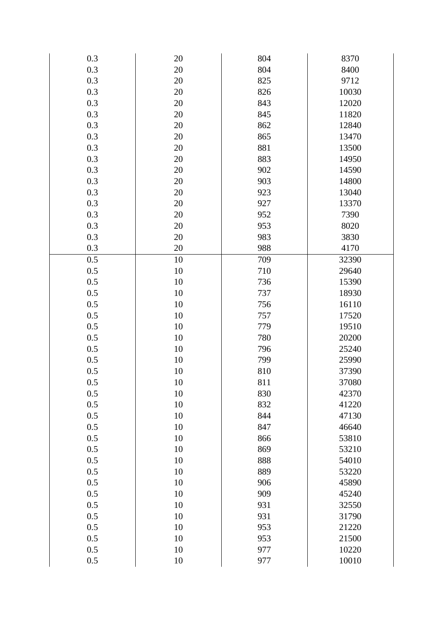| 0.3     | 20     | 804 | 8370  |  |
|---------|--------|-----|-------|--|
| 0.3     | $20\,$ | 804 | 8400  |  |
| 0.3     | 20     | 825 | 9712  |  |
| 0.3     | 20     | 826 | 10030 |  |
| 0.3     | 20     | 843 | 12020 |  |
| 0.3     | $20\,$ | 845 | 11820 |  |
| 0.3     | 20     | 862 | 12840 |  |
| 0.3     | 20     | 865 | 13470 |  |
| 0.3     | 20     | 881 | 13500 |  |
| 0.3     | $20\,$ | 883 | 14950 |  |
| 0.3     | 20     | 902 | 14590 |  |
| 0.3     | 20     | 903 | 14800 |  |
| 0.3     | 20     | 923 | 13040 |  |
| 0.3     | 20     | 927 | 13370 |  |
| 0.3     | 20     | 952 | 7390  |  |
| 0.3     | $20\,$ | 953 | 8020  |  |
| 0.3     | 20     | 983 | 3830  |  |
| 0.3     | $20\,$ | 988 | 4170  |  |
| 0.5     | $10\,$ | 709 | 32390 |  |
| 0.5     | $10\,$ | 710 | 29640 |  |
| 0.5     | 10     | 736 | 15390 |  |
| 0.5     | $10\,$ | 737 | 18930 |  |
| 0.5     | 10     | 756 | 16110 |  |
| 0.5     | $10\,$ | 757 | 17520 |  |
| 0.5     | 10     | 779 | 19510 |  |
| 0.5     | $10\,$ | 780 | 20200 |  |
| 0.5     | 10     | 796 | 25240 |  |
| 0.5     | $10\,$ | 799 | 25990 |  |
| 0.5     | 10     | 810 | 37390 |  |
| 0.5     | 10     | 811 | 37080 |  |
| 0.5     | 10     | 830 | 42370 |  |
| 0.5     | 10     | 832 | 41220 |  |
| 0.5     | 10     | 844 | 47130 |  |
| 0.5     | 10     | 847 | 46640 |  |
| 0.5     | 10     | 866 | 53810 |  |
| 0.5     | 10     | 869 | 53210 |  |
| 0.5     | 10     | 888 | 54010 |  |
| 0.5     | 10     | 889 | 53220 |  |
| 0.5     | 10     | 906 | 45890 |  |
| 0.5     | 10     | 909 | 45240 |  |
| 0.5     | 10     | 931 | 32550 |  |
| 0.5     | 10     | 931 | 31790 |  |
| 0.5     | 10     | 953 | 21220 |  |
| 0.5     | 10     | 953 | 21500 |  |
| 0.5     | 10     | 977 | 10220 |  |
| $0.5\,$ | $10\,$ | 977 | 10010 |  |
|         |        |     |       |  |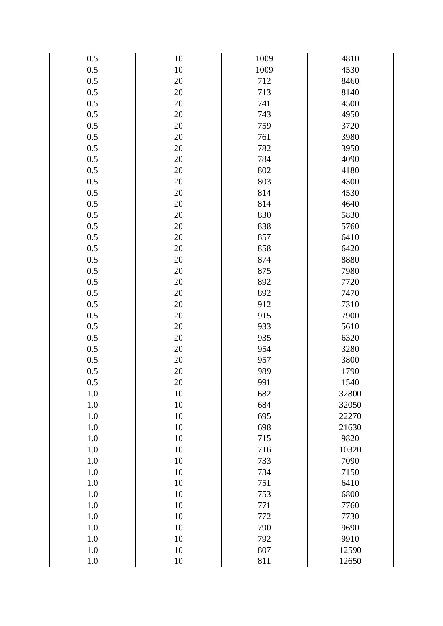| 0.5     | 10     | 1009 | 4810  |
|---------|--------|------|-------|
| 0.5     | $10\,$ | 1009 | 4530  |
| 0.5     | 20     | 712  | 8460  |
| 0.5     | $20\,$ | 713  | 8140  |
| 0.5     | 20     | 741  | 4500  |
| 0.5     | $20\,$ | 743  | 4950  |
| 0.5     | 20     | 759  | 3720  |
| 0.5     | $20\,$ | 761  | 3980  |
| 0.5     | 20     | 782  | 3950  |
| 0.5     | $20\,$ | 784  | 4090  |
| 0.5     | 20     | 802  | 4180  |
| 0.5     | $20\,$ | 803  | 4300  |
| 0.5     | 20     | 814  | 4530  |
| 0.5     | $20\,$ | 814  | 4640  |
| 0.5     | 20     | 830  | 5830  |
| 0.5     | $20\,$ | 838  | 5760  |
| 0.5     | 20     | 857  | 6410  |
| 0.5     | $20\,$ | 858  | 6420  |
| 0.5     | 20     | 874  | 8880  |
| 0.5     | $20\,$ | 875  | 7980  |
| 0.5     | 20     | 892  | 7720  |
| 0.5     | 20     | 892  | 7470  |
| 0.5     | 20     | 912  | 7310  |
| 0.5     | $20\,$ | 915  | 7900  |
| 0.5     | 20     | 933  | 5610  |
| 0.5     | 20     | 935  | 6320  |
| 0.5     | 20     | 954  | 3280  |
| 0.5     | $20\,$ | 957  | 3800  |
| 0.5     | $20\,$ | 989  | 1790  |
| 0.5     | 20     | 991  | 1540  |
| 1.0     | 10     | 682  | 32800 |
| $1.0\,$ | $10\,$ | 684  | 32050 |
| 1.0     | 10     | 695  | 22270 |
| 1.0     | 10     | 698  | 21630 |
| 1.0     | 10     | 715  | 9820  |
| 1.0     | $10\,$ | 716  | 10320 |
| 1.0     | 10     | 733  | 7090  |
| 1.0     | 10     | 734  | 7150  |
| 1.0     | 10     | 751  | 6410  |
| $1.0\,$ | $10\,$ | 753  | 6800  |
| 1.0     | 10     | 771  | 7760  |
| 1.0     | 10     | 772  | 7730  |
| 1.0     | 10     | 790  | 9690  |
| $1.0\,$ | $10\,$ | 792  | 9910  |
| 1.0     | 10     | 807  | 12590 |
| $1.0\,$ | $10\,$ | 811  | 12650 |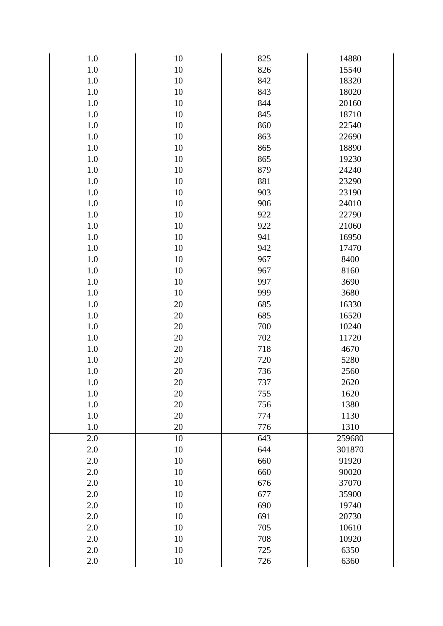| 1.0     | 10     | 825 | 14880  |
|---------|--------|-----|--------|
| 1.0     | $10\,$ | 826 | 15540  |
| $1.0\,$ | 10     | 842 | 18320  |
| 1.0     | $10\,$ | 843 | 18020  |
| 1.0     | 10     | 844 | 20160  |
| 1.0     | 10     | 845 | 18710  |
| $1.0\,$ | 10     | 860 | 22540  |
| 1.0     | $10\,$ | 863 | 22690  |
| $1.0\,$ | 10     | 865 | 18890  |
| 1.0     | $10\,$ | 865 | 19230  |
| $1.0\,$ | 10     | 879 | 24240  |
| 1.0     | $10\,$ | 881 | 23290  |
| 1.0     | 10     | 903 | 23190  |
| 1.0     | 10     | 906 | 24010  |
| $1.0\,$ | $10\,$ | 922 | 22790  |
| 1.0     | $10\,$ | 922 | 21060  |
| 1.0     | 10     | 941 | 16950  |
| 1.0     | $10\,$ | 942 | 17470  |
| $1.0\,$ | $10\,$ | 967 | 8400   |
| 1.0     | $10\,$ | 967 | 8160   |
| $1.0\,$ | $10\,$ | 997 | 3690   |
| 1.0     | 10     | 999 | 3680   |
| $1.0\,$ | 20     | 685 | 16330  |
| 1.0     | 20     | 685 | 16520  |
| $1.0\,$ | 20     | 700 | 10240  |
| 1.0     | 20     | 702 | 11720  |
| $1.0\,$ | $20\,$ | 718 | 4670   |
| 1.0     | 20     | 720 | 5280   |
| $1.0\,$ | 20     | 736 | 2560   |
| 1.0     | 20     | 737 | 2620   |
| 1.0     | 20     | 755 | 1620   |
| 1.0     | 20     | 756 | 1380   |
| $1.0\,$ | 20     | 774 | 1130   |
| 1.0     | 20     | 776 | 1310   |
| 2.0     | 10     | 643 | 259680 |
| 2.0     | 10     | 644 | 301870 |
| $2.0\,$ | $10\,$ | 660 | 91920  |
| 2.0     | 10     | 660 | 90020  |
| $2.0\,$ | $10\,$ | 676 | 37070  |
| 2.0     | 10     | 677 | 35900  |
| $2.0\,$ | $10\,$ | 690 | 19740  |
| 2.0     | 10     | 691 | 20730  |
| $2.0\,$ | $10\,$ | 705 | 10610  |
| 2.0     | 10     | 708 | 10920  |
| $2.0\,$ | $10\,$ | 725 | 6350   |
| 2.0     | $10\,$ | 726 | 6360   |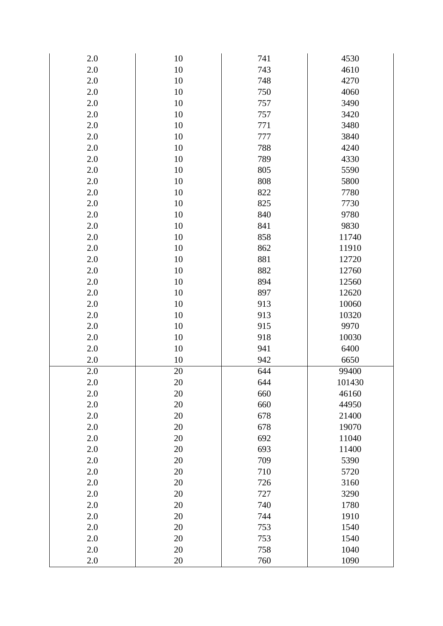| 2.0     | 10     | 741 | 4530   |
|---------|--------|-----|--------|
| 2.0     | $10\,$ | 743 | 4610   |
| $2.0\,$ | $10\,$ | 748 | 4270   |
| 2.0     | $10\,$ | 750 | 4060   |
| 2.0     | $10\,$ | 757 | 3490   |
| 2.0     | $10\,$ | 757 | 3420   |
| $2.0\,$ | $10\,$ | 771 | 3480   |
| 2.0     | $10\,$ | 777 | 3840   |
| 2.0     | $10\,$ | 788 | 4240   |
| 2.0     | $10\,$ | 789 | 4330   |
| $2.0\,$ | $10\,$ | 805 | 5590   |
| 2.0     | $10\,$ | 808 | 5800   |
| 2.0     | $10\,$ | 822 | 7780   |
| 2.0     | $10\,$ | 825 | 7730   |
| $2.0\,$ | $10\,$ | 840 | 9780   |
| 2.0     | $10\,$ | 841 | 9830   |
| 2.0     | $10\,$ | 858 | 11740  |
| 2.0     | $10\,$ | 862 | 11910  |
| $2.0\,$ | $10\,$ | 881 | 12720  |
| 2.0     | $10\,$ | 882 | 12760  |
| 2.0     | $10\,$ | 894 | 12560  |
| 2.0     | $10\,$ | 897 | 12620  |
| $2.0\,$ | $10\,$ | 913 | 10060  |
| 2.0     | 10     | 913 | 10320  |
| 2.0     | $10\,$ | 915 | 9970   |
| 2.0     | $10\,$ | 918 | 10030  |
| $2.0\,$ | $10\,$ | 941 | 6400   |
| 2.0     | 10     | 942 | 6650   |
| 2.0     | 20     | 644 | 99400  |
| 2.0     | 20     | 644 | 101430 |
| 2.0     | 20     | 660 | 46160  |
| 2.0     | 20     | 660 | 44950  |
| 2.0     | $20\,$ | 678 | 21400  |
| 2.0     | 20     | 678 | 19070  |
| $2.0\,$ | $20\,$ | 692 | 11040  |
| 2.0     | 20     | 693 | 11400  |
| 2.0     | $20\,$ | 709 | 5390   |
| 2.0     | 20     | 710 | 5720   |
| $2.0\,$ | $20\,$ | 726 | 3160   |
| 2.0     | 20     | 727 | 3290   |
| 2.0     | $20\,$ | 740 | 1780   |
| 2.0     | 20     | 744 | 1910   |
| $2.0\,$ | $20\,$ | 753 | 1540   |
| 2.0     | 20     | 753 | 1540   |
| 2.0     | $20\,$ | 758 | 1040   |
| 2.0     | $20\,$ | 760 | 1090   |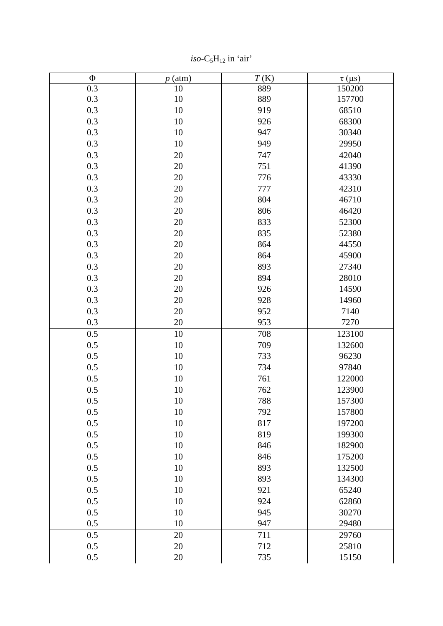| $\Phi$ | $p$ (atm) | T(K) | $\tau$ (µs) |
|--------|-----------|------|-------------|
| 0.3    | 10        | 889  | 150200      |
| 0.3    | 10        | 889  | 157700      |
| 0.3    | $10\,$    | 919  | 68510       |
| 0.3    | $10\,$    | 926  | 68300       |
| 0.3    | $10\,$    | 947  | 30340       |
| 0.3    | 10        | 949  | 29950       |
| 0.3    | 20        | 747  | 42040       |
| 0.3    | 20        | 751  | 41390       |
| 0.3    | 20        | 776  | 43330       |
| 0.3    | 20        | 777  | 42310       |
| 0.3    | 20        | 804  | 46710       |
| 0.3    | 20        | 806  | 46420       |
| 0.3    | 20        | 833  | 52300       |
| 0.3    | 20        | 835  | 52380       |
| 0.3    | 20        | 864  | 44550       |
| 0.3    | 20        | 864  | 45900       |
| 0.3    | 20        | 893  | 27340       |
| 0.3    | 20        | 894  | 28010       |
| 0.3    | 20        | 926  | 14590       |
| 0.3    | 20        | 928  | 14960       |
| 0.3    | 20        | 952  | 7140        |
| 0.3    | 20        | 953  | 7270        |
| 0.5    | 10        | 708  | 123100      |
| 0.5    | 10        | 709  | 132600      |
| 0.5    | 10        | 733  | 96230       |
| 0.5    | 10        | 734  | 97840       |
| 0.5    | 10        | 761  | 122000      |
| 0.5    | $10\,$    | 762  | 123900      |
| 0.5    | $10\,$    | 788  | 157300      |
| 0.5    | 10        | 792  | 157800      |
| 0.5    | 10        | 817  | 197200      |
| 0.5    | 10        | 819  | 199300      |
| 0.5    | 10        | 846  | 182900      |
| 0.5    | 10        | 846  | 175200      |
| 0.5    | 10        | 893  | 132500      |
| 0.5    | 10        | 893  | 134300      |
| 0.5    | 10        | 921  | 65240       |
| 0.5    | 10        | 924  | 62860       |
| 0.5    | 10        | 945  | 30270       |
| 0.5    | 10        | 947  | 29480       |
| 0.5    | 20        | 711  | 29760       |
| 0.5    | 20        | 712  | 25810       |
| 0.5    | 20        | 735  | 15150       |

 $iso-C<sub>5</sub>H<sub>12</sub>$  in 'air'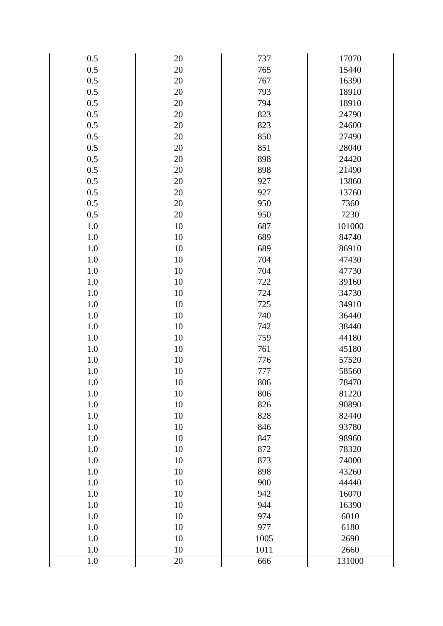| 0.5     | 20     | 737  | 17070  |
|---------|--------|------|--------|
| 0.5     | $20\,$ | 765  | 15440  |
| 0.5     | 20     | 767  | 16390  |
| 0.5     | 20     | 793  | 18910  |
| 0.5     | 20     | 794  | 18910  |
| 0.5     | 20     | 823  | 24790  |
| 0.5     | 20     | 823  | 24600  |
| 0.5     | 20     | 850  | 27490  |
| 0.5     | 20     | 851  | 28040  |
| 0.5     | 20     | 898  | 24420  |
| 0.5     | 20     | 898  | 21490  |
| 0.5     | 20     | 927  | 13860  |
| 0.5     | 20     | 927  | 13760  |
| 0.5     | $20\,$ | 950  | 7360   |
| 0.5     | 20     | 950  | 7230   |
| 1.0     | 10     | 687  | 101000 |
| 1.0     | 10     | 689  | 84740  |
| 1.0     | 10     | 689  | 86910  |
| 1.0     | 10     | 704  | 47430  |
| 1.0     | 10     | 704  | 47730  |
| 1.0     | 10     | 722  | 39160  |
| 1.0     | 10     | 724  | 34730  |
| 1.0     | 10     | 725  | 34910  |
| 1.0     | $10\,$ | 740  | 36440  |
| 1.0     | 10     | 742  | 38440  |
| 1.0     | $10\,$ | 759  | 44180  |
| 1.0     | 10     | 761  | 45180  |
| 1.0     | 10     | 776  | 57520  |
| $1.0\,$ | 10     | 777  | 58560  |
| 1.0     | 10     | 806  | 78470  |
| 1.0     | 10     | 806  | 81220  |
| 1.0     | $10\,$ | 826  | 90890  |
| 1.0     | 10     | 828  | 82440  |
| 1.0     | 10     | 846  | 93780  |
| 1.0     | 10     | 847  | 98960  |
| 1.0     | 10     | 872  | 78320  |
| 1.0     | 10     | 873  | 74000  |
| 1.0     | 10     | 898  | 43260  |
| 1.0     | 10     | 900  | 44440  |
| 1.0     | 10     | 942  | 16070  |
| 1.0     | 10     | 944  | 16390  |
| 1.0     | 10     | 974  | 6010   |
| 1.0     | 10     | 977  | 6180   |
| 1.0     | $10\,$ | 1005 | 2690   |
| 1.0     | 10     | 1011 | 2660   |
| 1.0     | 20     | 666  | 131000 |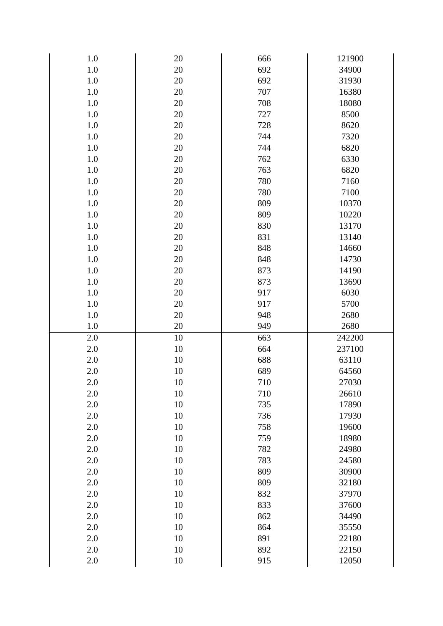| 1.0     | 20     | 666 | 121900 |
|---------|--------|-----|--------|
| 1.0     | 20     | 692 | 34900  |
| $1.0\,$ | 20     | 692 | 31930  |
| 1.0     | 20     | 707 | 16380  |
| 1.0     | 20     | 708 | 18080  |
| 1.0     | $20\,$ | 727 | 8500   |
| $1.0\,$ | 20     | 728 | 8620   |
| 1.0     | $20\,$ | 744 | 7320   |
| 1.0     | 20     | 744 | 6820   |
| 1.0     | $20\,$ | 762 | 6330   |
| $1.0\,$ | 20     | 763 | 6820   |
| 1.0     | 20     | 780 | 7160   |
| 1.0     | 20     | 780 | 7100   |
| 1.0     | 20     | 809 | 10370  |
| $1.0\,$ | 20     | 809 | 10220  |
| 1.0     | 20     | 830 | 13170  |
| 1.0     | 20     | 831 | 13140  |
| 1.0     | 20     | 848 | 14660  |
| $1.0\,$ | 20     | 848 | 14730  |
| 1.0     | 20     | 873 | 14190  |
| 1.0     | 20     | 873 | 13690  |
| 1.0     | $20\,$ | 917 | 6030   |
| $1.0\,$ | 20     | 917 | 5700   |
| 1.0     | $20\,$ | 948 | 2680   |
| $1.0\,$ | 20     | 949 | 2680   |
| 2.0     | 10     | 663 | 242200 |
| $2.0\,$ | $10\,$ | 664 | 237100 |
| 2.0     | 10     | 688 | 63110  |
| $2.0\,$ | $10\,$ | 689 | 64560  |
| 2.0     | 10     | 710 | 27030  |
| 2.0     | 10     | 710 | 26610  |
| 2.0     | 10     | 735 | 17890  |
| $2.0\,$ | 10     | 736 | 17930  |
| 2.0     | 10     | 758 | 19600  |
| 2.0     | 10     | 759 | 18980  |
| 2.0     | 10     | 782 | 24980  |
| 2.0     | 10     | 783 | 24580  |
| 2.0     | 10     | 809 | 30900  |
| 2.0     | 10     | 809 | 32180  |
| 2.0     | 10     | 832 | 37970  |
| 2.0     | 10     | 833 | 37600  |
| 2.0     | 10     | 862 | 34490  |
| 2.0     | 10     | 864 | 35550  |
| 2.0     | 10     | 891 | 22180  |
| $2.0\,$ | $10\,$ | 892 | 22150  |
| 2.0     | 10     | 915 | 12050  |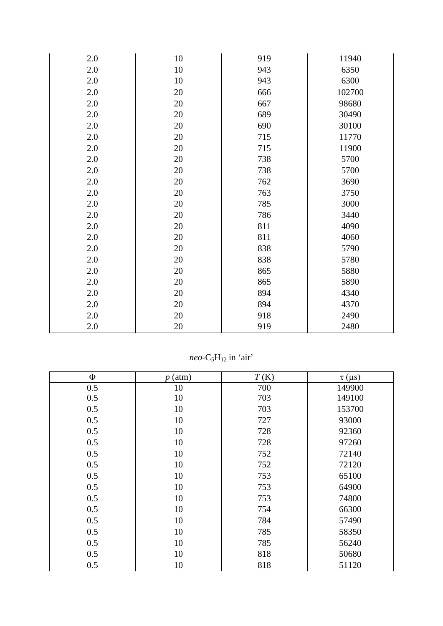| 2.0 | 10 | 919 | 11940  |
|-----|----|-----|--------|
| 2.0 | 10 | 943 | 6350   |
| 2.0 | 10 | 943 | 6300   |
| 2.0 | 20 | 666 | 102700 |
| 2.0 | 20 | 667 | 98680  |
| 2.0 | 20 | 689 | 30490  |
| 2.0 | 20 | 690 | 30100  |
| 2.0 | 20 | 715 | 11770  |
| 2.0 | 20 | 715 | 11900  |
| 2.0 | 20 | 738 | 5700   |
| 2.0 | 20 | 738 | 5700   |
| 2.0 | 20 | 762 | 3690   |
| 2.0 | 20 | 763 | 3750   |
| 2.0 | 20 | 785 | 3000   |
| 2.0 | 20 | 786 | 3440   |
| 2.0 | 20 | 811 | 4090   |
| 2.0 | 20 | 811 | 4060   |
| 2.0 | 20 | 838 | 5790   |
| 2.0 | 20 | 838 | 5780   |
| 2.0 | 20 | 865 | 5880   |
| 2.0 | 20 | 865 | 5890   |
| 2.0 | 20 | 894 | 4340   |
| 2.0 | 20 | 894 | 4370   |
| 2.0 | 20 | 918 | 2490   |
| 2.0 | 20 | 919 | 2480   |

*neo* - C 5 H12 in 'air'

| $\Phi$ | $p$ (atm) | T(K) | $\tau$ (µs) |
|--------|-----------|------|-------------|
| 0.5    | 10        | 700  | 149900      |
| 0.5    | 10        | 703  | 149100      |
| 0.5    | 10        | 703  | 153700      |
| 0.5    | 10        | 727  | 93000       |
| 0.5    | 10        | 728  | 92360       |
| 0.5    | 10        | 728  | 97260       |
| 0.5    | 10        | 752  | 72140       |
| 0.5    | 10        | 752  | 72120       |
| 0.5    | 10        | 753  | 65100       |
| 0.5    | 10        | 753  | 64900       |
| 0.5    | 10        | 753  | 74800       |
| 0.5    | 10        | 754  | 66300       |
| 0.5    | 10        | 784  | 57490       |
| 0.5    | 10        | 785  | 58350       |
| 0.5    | 10        | 785  | 56240       |
| 0.5    | 10        | 818  | 50680       |
| 0.5    | 10        | 818  | 51120       |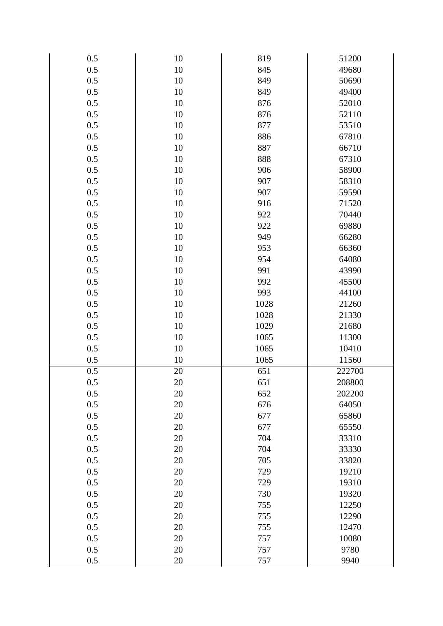| 0.5 | 10     | 819  | 51200  |
|-----|--------|------|--------|
| 0.5 | $10\,$ | 845  | 49680  |
| 0.5 | 10     | 849  | 50690  |
| 0.5 | $10\,$ | 849  | 49400  |
| 0.5 | 10     | 876  | 52010  |
| 0.5 | 10     | 876  | 52110  |
| 0.5 | 10     | 877  | 53510  |
| 0.5 | $10\,$ | 886  | 67810  |
| 0.5 | 10     | 887  | 66710  |
| 0.5 | 10     | 888  | 67310  |
| 0.5 | 10     | 906  | 58900  |
| 0.5 | $10\,$ | 907  | 58310  |
| 0.5 | 10     | 907  | 59590  |
| 0.5 | 10     | 916  | 71520  |
| 0.5 | 10     | 922  | 70440  |
| 0.5 | 10     | 922  | 69880  |
| 0.5 | 10     | 949  | 66280  |
| 0.5 | 10     | 953  | 66360  |
| 0.5 | 10     | 954  | 64080  |
| 0.5 | $10\,$ | 991  | 43990  |
| 0.5 | 10     | 992  | 45500  |
| 0.5 | 10     | 993  | 44100  |
| 0.5 | 10     | 1028 | 21260  |
| 0.5 | $10\,$ | 1028 | 21330  |
| 0.5 | 10     | 1029 | 21680  |
| 0.5 | 10     | 1065 | 11300  |
| 0.5 | 10     | 1065 | 10410  |
| 0.5 | 10     | 1065 | 11560  |
| 0.5 | 20     | 651  | 222700 |
| 0.5 | 20     | 651  | 208800 |
| 0.5 | 20     | 652  | 202200 |
| 0.5 | 20     | 676  | 64050  |
| 0.5 | 20     | 677  | 65860  |
| 0.5 | 20     | 677  | 65550  |
| 0.5 | 20     | 704  | 33310  |
| 0.5 | 20     | 704  | 33330  |
| 0.5 | 20     | 705  | 33820  |
| 0.5 | 20     | 729  | 19210  |
| 0.5 | 20     | 729  | 19310  |
| 0.5 | 20     | 730  | 19320  |
| 0.5 | 20     | 755  | 12250  |
| 0.5 | 20     | 755  | 12290  |
| 0.5 | 20     | 755  | 12470  |
| 0.5 | 20     | 757  | 10080  |
| 0.5 | 20     | 757  | 9780   |
| 0.5 | 20     | 757  | 9940   |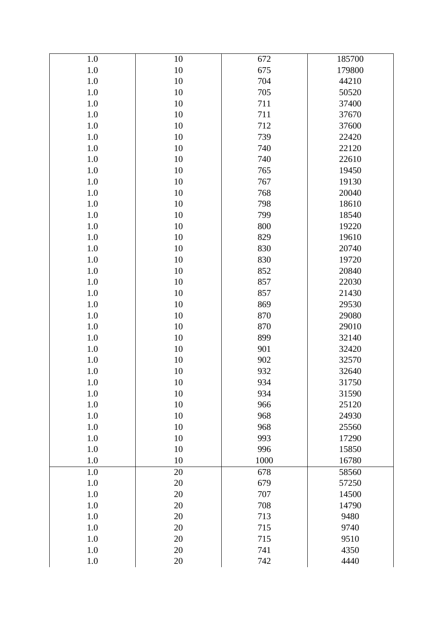| 1.0     | 10     | 672  | 185700 |
|---------|--------|------|--------|
| $1.0\,$ | $10\,$ | 675  | 179800 |
| 1.0     | 10     | 704  | 44210  |
| $1.0\,$ | $10\,$ | 705  | 50520  |
| 1.0     | 10     | 711  | 37400  |
| $1.0\,$ | $10\,$ | 711  | 37670  |
| 1.0     | 10     | 712  | 37600  |
| $1.0\,$ | $10\,$ | 739  | 22420  |
| 1.0     | 10     | 740  | 22120  |
| $1.0\,$ | $10\,$ | 740  | 22610  |
| 1.0     | 10     | 765  | 19450  |
| $1.0\,$ | $10\,$ | 767  | 19130  |
| 1.0     | 10     | 768  | 20040  |
| $1.0\,$ | $10\,$ | 798  | 18610  |
| 1.0     | 10     | 799  | 18540  |
| $1.0\,$ | $10\,$ | 800  | 19220  |
| 1.0     | 10     | 829  | 19610  |
| $1.0\,$ | $10\,$ | 830  | 20740  |
| 1.0     | 10     | 830  | 19720  |
| $1.0\,$ | $10\,$ | 852  | 20840  |
| 1.0     | 10     | 857  | 22030  |
| $1.0\,$ | $10\,$ | 857  | 21430  |
| 1.0     | 10     | 869  | 29530  |
| $1.0\,$ | $10\,$ | 870  | 29080  |
| 1.0     | 10     | 870  | 29010  |
| $1.0\,$ | $10\,$ | 899  | 32140  |
| 1.0     | 10     | 901  | 32420  |
| $1.0\,$ | $10\,$ | 902  | 32570  |
| $1.0\,$ | 10     | 932  | 32640  |
| 1.0     | $10\,$ | 934  | 31750  |
| 1.0     | 10     | 934  | 31590  |
| 1.0     | 10     | 966  | 25120  |
| 1.0     | 10     | 968  | 24930  |
| 1.0     | 10     | 968  | 25560  |
| 1.0     | 10     | 993  | 17290  |
| 1.0     | 10     | 996  | 15850  |
| 1.0     | 10     | 1000 | 16780  |
| 1.0     | 20     | 678  | 58560  |
| 1.0     | 20     | 679  | 57250  |
| 1.0     | 20     | 707  | 14500  |
| 1.0     | 20     | 708  | 14790  |
| 1.0     | 20     | 713  | 9480   |
| 1.0     | 20     | 715  | 9740   |
| 1.0     | 20     | 715  | 9510   |
| 1.0     | 20     | 741  | 4350   |
| 1.0     | 20     | 742  | 4440   |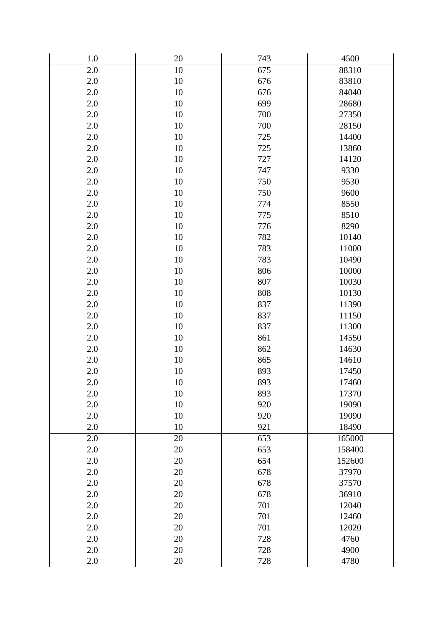| 1.0     | $20\,$ | 743 | 4500   |
|---------|--------|-----|--------|
| 2.0     | 10     | 675 | 88310  |
| 2.0     | 10     | 676 | 83810  |
| $2.0\,$ | 10     | 676 | 84040  |
| 2.0     | $10\,$ | 699 | 28680  |
| 2.0     | 10     | 700 | 27350  |
| 2.0     | 10     | 700 | 28150  |
| $2.0\,$ | 10     | 725 | 14400  |
| 2.0     | 10     | 725 | 13860  |
| 2.0     | 10     | 727 | 14120  |
| 2.0     | 10     | 747 | 9330   |
| $2.0\,$ | 10     | 750 | 9530   |
| 2.0     | 10     | 750 | 9600   |
| 2.0     | 10     | 774 | 8550   |
| 2.0     | 10     | 775 | 8510   |
| 2.0     | 10     | 776 | 8290   |
| 2.0     | 10     | 782 | 10140  |
| 2.0     | 10     | 783 | 11000  |
| 2.0     | 10     | 783 | 10490  |
| $2.0\,$ | 10     | 806 | 10000  |
| 2.0     | 10     | 807 | 10030  |
| 2.0     | 10     | 808 | 10130  |
| 2.0     | 10     | 837 | 11390  |
| $2.0\,$ | 10     | 837 | 11150  |
| 2.0     | 10     | 837 | 11300  |
| 2.0     | 10     | 861 | 14550  |
| 2.0     | 10     | 862 | 14630  |
| $2.0\,$ | $10\,$ | 865 | 14610  |
| 2.0     | 10     | 893 | 17450  |
| 2.0     | 10     | 893 | 17460  |
| 2.0     | 10     | 893 | 17370  |
| 2.0     | 10     | 920 | 19090  |
| 2.0     | 10     | 920 | 19090  |
| 2.0     | 10     | 921 | 18490  |
| 2.0     | 20     | 653 | 165000 |
| $2.0\,$ | 20     | 653 | 158400 |
| 2.0     | 20     | 654 | 152600 |
| $2.0\,$ | $20\,$ | 678 | 37970  |
| 2.0     | 20     | 678 | 37570  |
| 2.0     | 20     | 678 | 36910  |
| 2.0     | 20     | 701 | 12040  |
| 2.0     | $20\,$ | 701 | 12460  |
| 2.0     | 20     | 701 | 12020  |
| 2.0     | $20\,$ | 728 | 4760   |
| 2.0     | 20     | 728 | 4900   |
| $2.0\,$ | $20\,$ | 728 | 4780   |